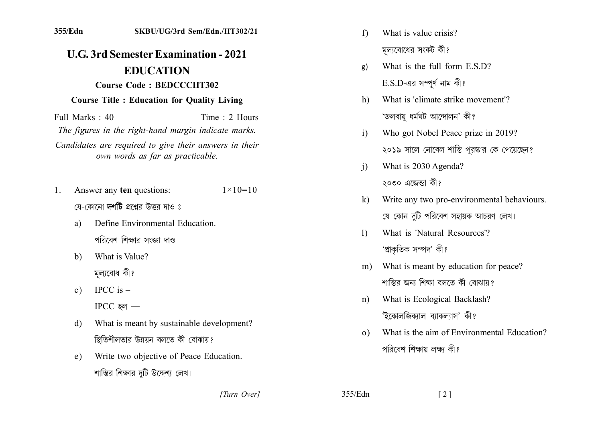## **U.G. 3rd Semester Examination - 2021 EDUCATION** Course Code: BEDCCCHT302

## **Course Title : Education for Quality Living**

Full Marks  $\cdot$  40 Time  $\cdot$  2 Hours The figures in the right-hand margin indicate marks. Candidates are required to give their answers in their own words as far as practicable.

- Answer any ten questions:  $1 \times 10 = 10$  $1_{\cdot}$ যে-কোনো **দশটি** প্ৰশ্নেব উত্তব দাও ঃ
	- Define Environmental Education a) পরিবেশ শিক্ষার সংজ্ঞা দাও।
	- What is Value?  $b)$ মূল্যবোধ কী?
	- IPCC is  $$  $c)$  $\text{IPCC}$  হল –
	- What is meant by sustainable development?  $\mathbf{d}$ স্থিতিশীলতার উন্নয়ন বলতে কী বোঝায়?
	- Write two objective of Peace Education.  $e)$ শান্তির শিক্ষার দটি উদ্দেশ্য লেখ।
- $f$ What is value crisis? মল্যবোধের সংকট কী?
- What is the full form E.S.D?  $g)$  $E.S.D$ -এর সম্পূর্ণ নাম কী?
- What is 'climate strike movement'? h) 'জলবায় ধৰ্মঘট আন্দোলন' কী?
- Who got Nobel Peace prize in 2019?  $\mathbf{i}$ ২০১৯ সালে নোবেল শাস্তি পুরষ্কার কে পেয়েছেন?
- What is 2030 Agenda?  $\overline{1}$ ২০৩০ এজেন্ডা কী?
- Write any two pro-environmental behaviours.  $\bf k$ যে কোন দটি পরিবেশ সহায়ক আচরণ লেখ।
- What is 'Natural Resources'?  $\mathbf{D}$ 'প্ৰাকৃতিক সম্পদ' কী?
- m) What is meant by education for peace? শান্তির জন্য শিক্ষা বলতে কী বোঝায়?
- What is Ecological Backlash?  $n)$ 'ইকোলজিক্যাল ব্যাকল্যাস' কী?
- What is the aim of Environmental Education?  $\Omega$ পরিবেশ শিক্ষায় লক্ষ্য কী?

[Turn Over]

355/Edn